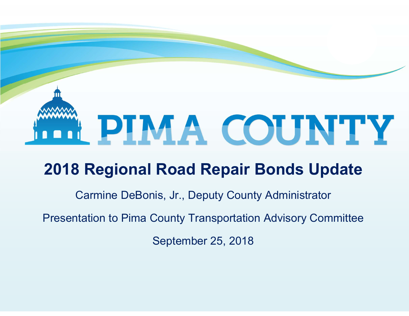# PIMA COUNTY

#### **2018 Regional Road Repair Bonds Update**

Carmine DeBonis, Jr., Deputy County Administrator

Presentation to Pima County Transportation Advisory Committee

September 25, 2018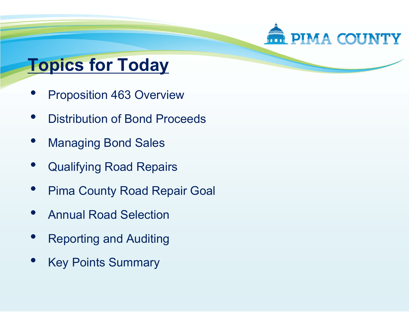

### **Topics for Today**

- $\bullet$ Proposition 463 Overview
- $\bullet$ Distribution of Bond Proceeds
- $\bullet$ Managing Bond Sales
- $\bullet$ Qualifying Road Repairs
- $\bullet$ Pima County Road Repair Goal
- $\bullet$ Annual Road Selection
- $\bullet$ Reporting and Auditing
- $\bullet$ Key Points Summary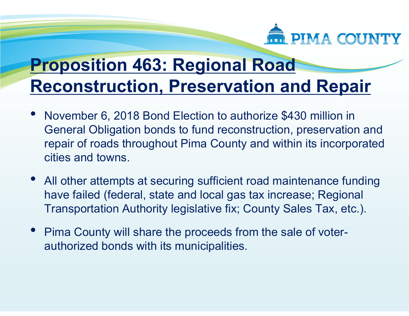

# **Proposition 463: Regional Road Reconstruction, Preservation and Repair**

- $\bullet$  November 6, 2018 Bond Election to authorize \$430 million in General Obligation bonds to fund reconstruction, preservation and repair of roads throughout Pima County and within its incorporated cities and towns.
- All other attempts at securing sufficient road maintenance funding have failed (federal, state and local gas tax increase; Regional Transportation Authority legislative fix; County Sales Tax, etc.).
- $\bullet$  Pima County will share the proceeds from the sale of voterauthorized bonds with its municipalities.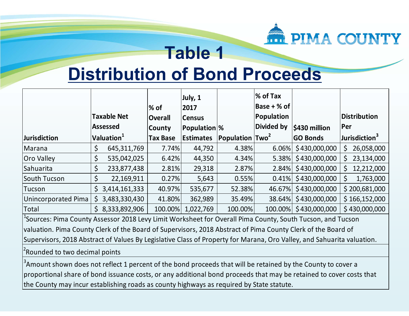

#### **Table 1**

#### **Distribution of Bond Proceeds**

|                     | <b>Taxable Net</b><br>Assessed |                 | $%$ of<br><b>Overall</b><br><b>County</b> | July, 1<br>2017<br><b>Census</b><br>Population % |                             | $\%$ of Tax<br>Base + % of<br>Population<br>Divided by | \$430 million          | <b>Distribution</b><br>Per |
|---------------------|--------------------------------|-----------------|-------------------------------------------|--------------------------------------------------|-----------------------------|--------------------------------------------------------|------------------------|----------------------------|
| Jurisdiction        | Valuation <sup>1</sup>         |                 | <b>Tax Base</b>                           | <b>Estimates</b>                                 | Population $\textsf{Two}^2$ |                                                        | <b>GO Bonds</b>        | Jurisdiction $^3$          |
| Marana              | \$                             | 645, 311, 769   | 7.74%                                     | 44,792                                           | 4.38%                       |                                                        | $6.06\%$ \$430,000,000 | 26,058,000<br>S.           |
| Oro Valley          | \$                             | 535,042,025     | 6.42%                                     | 44,350                                           | 4.34%                       |                                                        | 5.38% \$430,000,000    | 23,134,000<br>S.           |
| <b>Sahuarita</b>    | \$                             | 233,877,438     | 2.81%                                     | 29,318                                           | 2.87%                       |                                                        | $2.84\%$ \$430,000,000 | 12,212,000<br>S.           |
| South Tucson        | \$                             | 22,169,911      | 0.27%                                     | 5,643                                            | 0.55%                       |                                                        | $0.41\%$ \$430,000,000 | 1,763,000<br>S.            |
| Tucson              |                                | \$3,414,161,333 | 40.97%                                    | 535,677                                          | 52.38%                      |                                                        | 46.67% \$430,000,000   | \$200,681,000              |
| Unincorporated Pima | S.                             | 3,483,330,430   | 41.80%                                    | 362,989                                          | 35.49%                      |                                                        | 38.64% \$430,000,000   | \$166,152,000              |
| Total               |                                | \$8,333,892,906 | 100.00%                                   | 1,022,769                                        | 100.00%                     |                                                        | 100.00% \$430,000,000  | \$430,000,000              |

1Sources: Pima County Assessor 2018 Levy Limit Worksheet for Overall Pima County, South Tucson, and Tucson valuation. Pima County Clerk of the Board of Supervisors, 2018 Abstract of Pima County Clerk of the Board of Supervisors, 2018 Abstract of Values By Legislative Class of Property for Marana, Oro Valley, and Sahuarita valuation.

<sup>2</sup>Rounded to two decimal points

<sup>3</sup>Amount shown does not reflect 1 percent of the bond proceeds that will be retained by the County to cover a proportional share of bond issuance costs, or any additional bond proceeds that may be retained to cover costs that the County may incur establishing roads as county highways as required by State statute.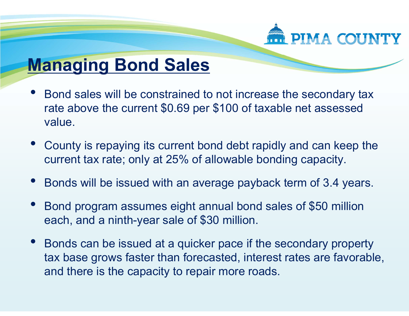

#### **Managing Bond Sales**

- $\bullet$  Bond sales will be constrained to not increase the secondary tax rate above the current \$0.69 per \$100 of taxable net assessed value.
- $\bullet$  County is repaying its current bond debt rapidly and can keep the current tax rate; only at 25% of allowable bonding capacity.
- $\bullet$ Bonds will be issued with an average payback term of 3.4 years.
- $\bullet$  Bond program assumes eight annual bond sales of \$50 million each, and a ninth-year sale of \$30 million.
- • Bonds can be issued at a quicker pace if the secondary property tax base grows faster than forecasted, interest rates are favorable, and there is the capacity to repair more roads.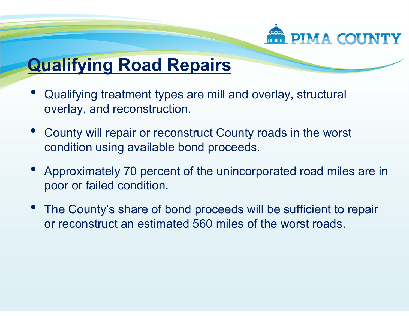

# **Qualifying Road Repairs**

- $\bullet$  Qualifying treatment types are mill and overlay, structural overlay, and reconstruction.
- $\bullet$  County will repair or reconstruct County roads in the worst condition using available bond proceeds.
- $\bullet$  Approximately 70 percent of the unincorporated road miles are in poor or failed condition.
- $\bullet$  The County's share of bond proceeds will be sufficient to repair or reconstruct an estimated 560 miles of the worst roads.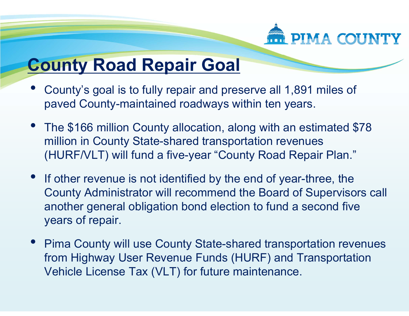

#### **County Road Repair Goal**

- $\bullet$  County's goal is to fully repair and preserve all 1,891 miles of paved County-maintained roadways within ten years.
- The \$166 million County allocation, along with an estimated \$78 million in County State-shared transportation revenues (HURF/VLT) will fund a five-year "County Road Repair Plan."
- • If other revenue is not identified by the end of year-three, the County Administrator will recommend the Board of Supervisors call another general obligation bond election to fund a second five years of repair.
- $\bullet$  Pima County will use County State-shared transportation revenues from Highway User Revenue Funds (HURF) and Transportation Vehicle License Tax (VLT) for future maintenance.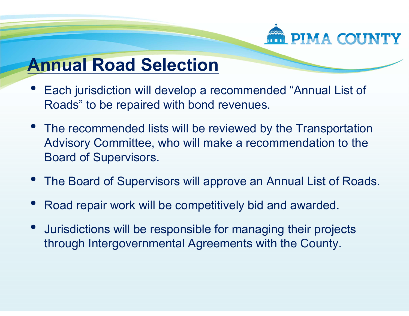

### **Annual Road Selection**

- $\bullet$  Each jurisdiction will develop a recommended "Annual List of Roads" to be repaired with bond revenues.
- $\bullet$  The recommended lists will be reviewed by the Transportation Advisory Committee, who will make a recommendation to the Board of Supervisors.
- $\bullet$ The Board of Supervisors will approve an Annual List of Roads.
- $\bullet$ Road repair work will be competitively bid and awarded.
- $\bullet$  Jurisdictions will be responsible for managing their projects through Intergovernmental Agreements with the County.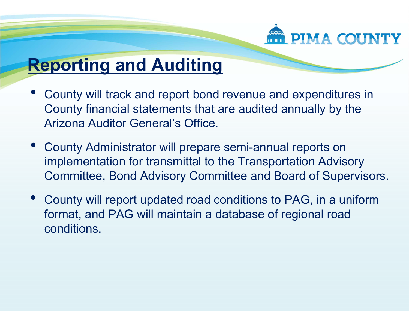

#### **Reporting and Auditing**

- $\bullet$  County will track and report bond revenue and expenditures in County financial statements that are audited annually by the Arizona Auditor General's Office.
- $\bullet$  County Administrator will prepare semi-annual reports on implementation for transmittal to the Transportation Advisory Committee, Bond Advisory Committee and Board of Supervisors.
- $\bullet$  County will report updated road conditions to PAG, in a uniform format, and PAG will maintain a database of regional road conditions.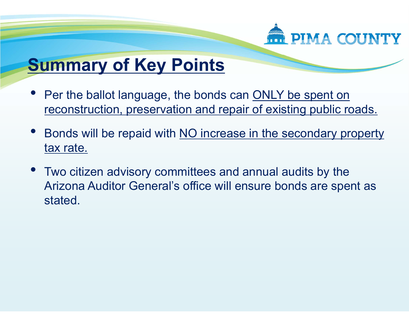

# **Summary of Key Points**

- $\bullet$ Per the ballot language, the bonds can ONLY be spent on reconstruction, preservation and repair of existing public roads.
- $\bullet$  Bonds will be repaid with NO increase in the secondary property tax rate.
- $\bullet$  Two citizen advisory committees and annual audits by the Arizona Auditor General's office will ensure bonds are spent as stated.